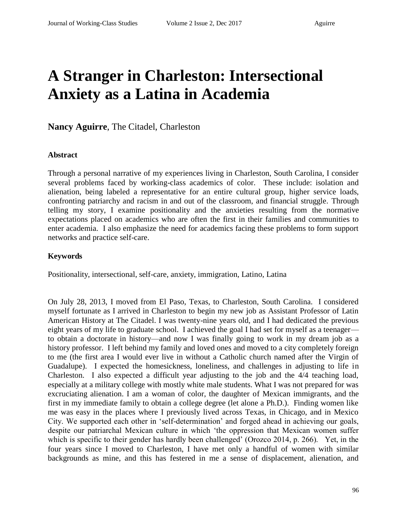# **A Stranger in Charleston: Intersectional Anxiety as a Latina in Academia**

**Nancy Aguirre**, The Citadel, Charleston

#### **Abstract**

Through a personal narrative of my experiences living in Charleston, South Carolina, I consider several problems faced by working-class academics of color. These include: isolation and alienation, being labeled a representative for an entire cultural group, higher service loads, confronting patriarchy and racism in and out of the classroom, and financial struggle. Through telling my story, I examine positionality and the anxieties resulting from the normative expectations placed on academics who are often the first in their families and communities to enter academia. I also emphasize the need for academics facing these problems to form support networks and practice self-care.

#### **Keywords**

Positionality, intersectional, self-care, anxiety, immigration, Latino, Latina

On July 28, 2013, I moved from El Paso, Texas, to Charleston, South Carolina. I considered myself fortunate as I arrived in Charleston to begin my new job as Assistant Professor of Latin American History at The Citadel. I was twenty-nine years old, and I had dedicated the previous eight years of my life to graduate school. I achieved the goal I had set for myself as a teenager to obtain a doctorate in history—and now I was finally going to work in my dream job as a history professor. I left behind my family and loved ones and moved to a city completely foreign to me (the first area I would ever live in without a Catholic church named after the Virgin of Guadalupe). I expected the homesickness, loneliness, and challenges in adjusting to life in Charleston. I also expected a difficult year adjusting to the job and the 4/4 teaching load, especially at a military college with mostly white male students. What I was not prepared for was excruciating alienation. I am a woman of color, the daughter of Mexican immigrants, and the first in my immediate family to obtain a college degree (let alone a Ph.D.). Finding women like me was easy in the places where I previously lived across Texas, in Chicago, and in Mexico City. We supported each other in 'self-determination' and forged ahead in achieving our goals, despite our patriarchal Mexican culture in which 'the oppression that Mexican women suffer which is specific to their gender has hardly been challenged' (Orozco 2014, p. 266). Yet, in the four years since I moved to Charleston, I have met only a handful of women with similar backgrounds as mine, and this has festered in me a sense of displacement, alienation, and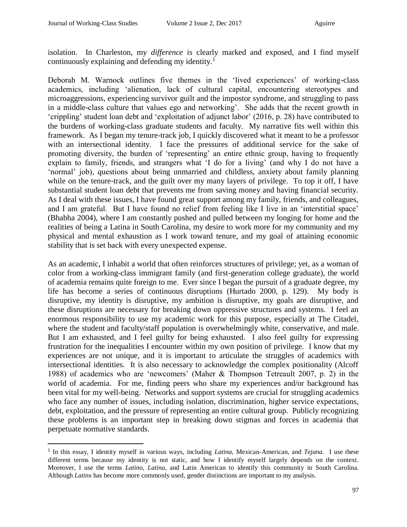$\overline{a}$ 

isolation. In Charleston, my *difference* is clearly marked and exposed, and I find myself continuously explaining and defending my identity.<sup>1</sup>

Deborah M. Warnock outlines five themes in the 'lived experiences' of working-class academics, including 'alienation, lack of cultural capital, encountering stereotypes and microaggressions, experiencing survivor guilt and the impostor syndrome, and struggling to pass in a middle-class culture that values ego and networking'. She adds that the recent growth in 'crippling' student loan debt and 'exploitation of adjunct labor' (2016, p. 28) have contributed to the burdens of working-class graduate students and faculty. My narrative fits well within this framework. As I began my tenure-track job, I quickly discovered what it meant to be a professor with an intersectional identity. I face the pressures of additional service for the sake of promoting diversity, the burden of 'representing' an entire ethnic group, having to frequently explain to family, friends, and strangers what 'I do for a living' (and why I do not have a 'normal' job), questions about being unmarried and childless, anxiety about family planning while on the tenure-track, and the guilt over my many layers of privilege. To top it off, I have substantial student loan debt that prevents me from saving money and having financial security. As I deal with these issues, I have found great support among my family, friends, and colleagues, and I am grateful. But I have found no relief from feeling like I live in an 'interstitial space' (Bhabha 2004), where I am constantly pushed and pulled between my longing for home and the realities of being a Latina in South Carolina, my desire to work more for my community and my physical and mental exhaustion as I work toward tenure, and my goal of attaining economic stability that is set back with every unexpected expense.

As an academic, I inhabit a world that often reinforces structures of privilege; yet, as a woman of color from a working-class immigrant family (and first-generation college graduate), the world of academia remains quite foreign to me. Ever since I began the pursuit of a graduate degree, my life has become a series of continuous disruptions (Hurtado 2000, p. 129). My body is disruptive, my identity is disruptive, my ambition is disruptive, my goals are disruptive, and these disruptions are necessary for breaking down oppressive structures and systems. I feel an enormous responsibility to use my academic work for this purpose, especially at The Citadel, where the student and faculty/staff population is overwhelmingly white, conservative, and male. But I am exhausted, and I feel guilty for being exhausted. I also feel guilty for expressing frustration for the inequalities I encounter within my own position of privilege. I know that my experiences are not unique, and it is important to articulate the struggles of academics with intersectional identities. It is also necessary to acknowledge the complex positionality (Alcoff 1988) of academics who are 'newcomers' (Maher & Thompson Tetreault 2007, p. 2) in the world of academia. For me, finding peers who share my experiences and/or background has been vital for my well-being. Networks and support systems are crucial for struggling academics who face any number of issues, including isolation, discrimination, higher service expectations, debt, exploitation, and the pressure of representing an entire cultural group. Publicly recognizing these problems is an important step in breaking down stigmas and forces in academia that perpetuate normative standards.

<sup>&</sup>lt;sup>1</sup> In this essay, I identity myself in various ways, including *Latina*, Mexican-American, and *Tejana*. I use these different terms because my identity is not static, and how I identify myself largely depends on the context. Moreover, I use the terms *Latino, Latina,* and Latin American to identify this community in South Carolina. Although *Latinx* has become more commonly used, gender distinctions are important to my analysis.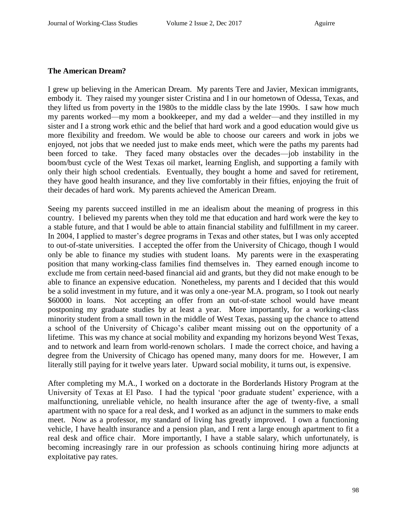#### **The American Dream?**

I grew up believing in the American Dream. My parents Tere and Javier, Mexican immigrants, embody it. They raised my younger sister Cristina and I in our hometown of Odessa, Texas, and they lifted us from poverty in the 1980s to the middle class by the late 1990s. I saw how much my parents worked—my mom a bookkeeper, and my dad a welder—and they instilled in my sister and I a strong work ethic and the belief that hard work and a good education would give us more flexibility and freedom. We would be able to choose our careers and work in jobs we enjoyed, not jobs that we needed just to make ends meet, which were the paths my parents had been forced to take. They faced many obstacles over the decades—job instability in the boom/bust cycle of the West Texas oil market, learning English, and supporting a family with only their high school credentials. Eventually, they bought a home and saved for retirement, they have good health insurance, and they live comfortably in their fifties, enjoying the fruit of their decades of hard work. My parents achieved the American Dream.

Seeing my parents succeed instilled in me an idealism about the meaning of progress in this country. I believed my parents when they told me that education and hard work were the key to a stable future, and that I would be able to attain financial stability and fulfillment in my career. In 2004, I applied to master's degree programs in Texas and other states, but I was only accepted to out-of-state universities. I accepted the offer from the University of Chicago, though I would only be able to finance my studies with student loans. My parents were in the exasperating position that many working-class families find themselves in. They earned enough income to exclude me from certain need-based financial aid and grants, but they did not make enough to be able to finance an expensive education. Nonetheless, my parents and I decided that this would be a solid investment in my future, and it was only a one-year M.A. program, so I took out nearly \$60000 in loans. Not accepting an offer from an out-of-state school would have meant postponing my graduate studies by at least a year. More importantly, for a working-class minority student from a small town in the middle of West Texas, passing up the chance to attend a school of the University of Chicago's caliber meant missing out on the opportunity of a lifetime. This was my chance at social mobility and expanding my horizons beyond West Texas, and to network and learn from world-renown scholars. I made the correct choice, and having a degree from the University of Chicago has opened many, many doors for me. However, I am literally still paying for it twelve years later. Upward social mobility, it turns out, is expensive.

After completing my M.A., I worked on a doctorate in the Borderlands History Program at the University of Texas at El Paso. I had the typical 'poor graduate student' experience, with a malfunctioning, unreliable vehicle, no health insurance after the age of twenty-five, a small apartment with no space for a real desk, and I worked as an adjunct in the summers to make ends meet. Now as a professor, my standard of living has greatly improved. I own a functioning vehicle, I have health insurance and a pension plan, and I rent a large enough apartment to fit a real desk and office chair. More importantly, I have a stable salary, which unfortunately, is becoming increasingly rare in our profession as schools continuing hiring more adjuncts at exploitative pay rates.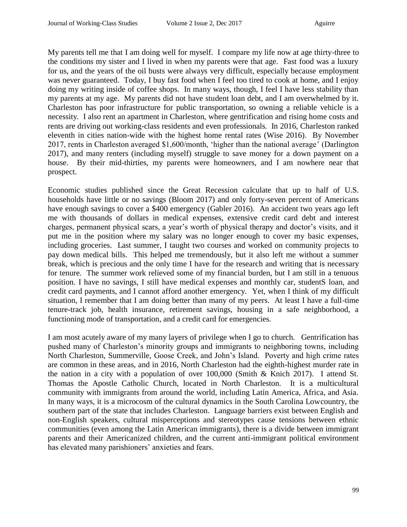My parents tell me that I am doing well for myself. I compare my life now at age thirty-three to the conditions my sister and I lived in when my parents were that age. Fast food was a luxury for us, and the years of the oil busts were always very difficult, especially because employment was never guaranteed. Today, I buy fast food when I feel too tired to cook at home, and I enjoy doing my writing inside of coffee shops. In many ways, though, I feel I have less stability than my parents at my age. My parents did not have student loan debt, and I am overwhelmed by it. Charleston has poor infrastructure for public transportation, so owning a reliable vehicle is a necessity. I also rent an apartment in Charleston, where gentrification and rising home costs and rents are driving out working-class residents and even professionals. In 2016, Charleston ranked eleventh in cities nation-wide with the highest home rental rates (Wise 2016). By November 2017, rents in Charleston averaged \$1,600/month, 'higher than the national average' (Darlington 2017), and many renters (including myself) struggle to save money for a down payment on a house. By their mid-thirties, my parents were homeowners, and I am nowhere near that prospect.

Economic studies published since the Great Recession calculate that up to half of U.S. households have little or no savings (Bloom 2017) and only forty-seven percent of Americans have enough savings to cover a \$400 emergency (Gabler 2016). An accident two years ago left me with thousands of dollars in medical expenses, extensive credit card debt and interest charges, permanent physical scars, a year's worth of physical therapy and doctor's visits, and it put me in the position where my salary was no longer enough to cover my basic expenses, including groceries. Last summer, I taught two courses and worked on community projects to pay down medical bills. This helped me tremendously, but it also left me without a summer break, which is precious and the only time I have for the research and writing that is necessary for tenure. The summer work relieved some of my financial burden, but I am still in a tenuous position. I have no savings, I still have medical expenses and monthly car, studentS loan, and credit card payments, and I cannot afford another emergency. Yet, when I think of my difficult situation, I remember that I am doing better than many of my peers. At least I have a full-time tenure-track job, health insurance, retirement savings, housing in a safe neighborhood, a functioning mode of transportation, and a credit card for emergencies.

I am most acutely aware of my many layers of privilege when I go to church. Gentrification has pushed many of Charleston's minority groups and immigrants to neighboring towns, including North Charleston, Summerville, Goose Creek, and John's Island. Poverty and high crime rates are common in these areas, and in 2016, North Charleston had the eighth-highest murder rate in the nation in a city with a population of over 100,000 (Smith & Knich 2017). I attend St. Thomas the Apostle Catholic Church, located in North Charleston. It is a multicultural community with immigrants from around the world, including Latin America, Africa, and Asia. In many ways, it is a microcosm of the cultural dynamics in the South Carolina Lowcountry, the southern part of the state that includes Charleston. Language barriers exist between English and non-English speakers, cultural misperceptions and stereotypes cause tensions between ethnic communities (even among the Latin American immigrants), there is a divide between immigrant parents and their Americanized children, and the current anti-immigrant political environment has elevated many parishioners' anxieties and fears.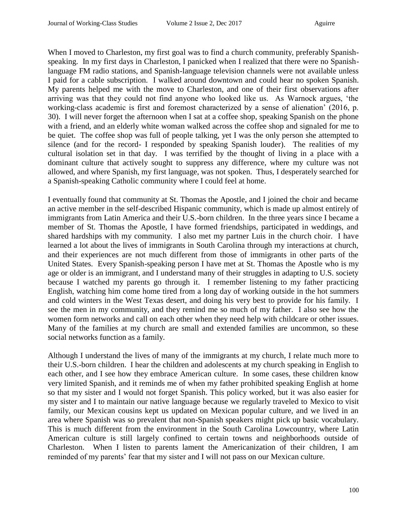When I moved to Charleston, my first goal was to find a church community, preferably Spanishspeaking. In my first days in Charleston, I panicked when I realized that there were no Spanishlanguage FM radio stations, and Spanish-language television channels were not available unless I paid for a cable subscription. I walked around downtown and could hear no spoken Spanish. My parents helped me with the move to Charleston, and one of their first observations after arriving was that they could not find anyone who looked like us. As Warnock argues, 'the working-class academic is first and foremost characterized by a sense of alienation' (2016, p. 30). I will never forget the afternoon when I sat at a coffee shop, speaking Spanish on the phone with a friend, and an elderly white woman walked across the coffee shop and signaled for me to be quiet. The coffee shop was full of people talking, yet I was the only person she attempted to silence (and for the record- I responded by speaking Spanish louder). The realities of my cultural isolation set in that day. I was terrified by the thought of living in a place with a dominant culture that actively sought to suppress any difference, where my culture was not allowed, and where Spanish, my first language, was not spoken. Thus, I desperately searched for a Spanish-speaking Catholic community where I could feel at home.

I eventually found that community at St. Thomas the Apostle, and I joined the choir and became an active member in the self-described Hispanic community, which is made up almost entirely of immigrants from Latin America and their U.S.-born children. In the three years since I became a member of St. Thomas the Apostle, I have formed friendships, participated in weddings, and shared hardships with my community. I also met my partner Luis in the church choir. I have learned a lot about the lives of immigrants in South Carolina through my interactions at church, and their experiences are not much different from those of immigrants in other parts of the United States. Every Spanish-speaking person I have met at St. Thomas the Apostle who is my age or older is an immigrant, and I understand many of their struggles in adapting to U.S. society because I watched my parents go through it. I remember listening to my father practicing English, watching him come home tired from a long day of working outside in the hot summers and cold winters in the West Texas desert, and doing his very best to provide for his family. I see the men in my community, and they remind me so much of my father. I also see how the women form networks and call on each other when they need help with childcare or other issues. Many of the families at my church are small and extended families are uncommon, so these social networks function as a family.

Although I understand the lives of many of the immigrants at my church, I relate much more to their U.S.-born children. I hear the children and adolescents at my church speaking in English to each other, and I see how they embrace American culture. In some cases, these children know very limited Spanish, and it reminds me of when my father prohibited speaking English at home so that my sister and I would not forget Spanish. This policy worked, but it was also easier for my sister and I to maintain our native language because we regularly traveled to Mexico to visit family, our Mexican cousins kept us updated on Mexican popular culture, and we lived in an area where Spanish was so prevalent that non-Spanish speakers might pick up basic vocabulary. This is much different from the environment in the South Carolina Lowcountry, where Latin American culture is still largely confined to certain towns and neighborhoods outside of Charleston. When I listen to parents lament the Americanization of their children, I am reminded of my parents' fear that my sister and I will not pass on our Mexican culture.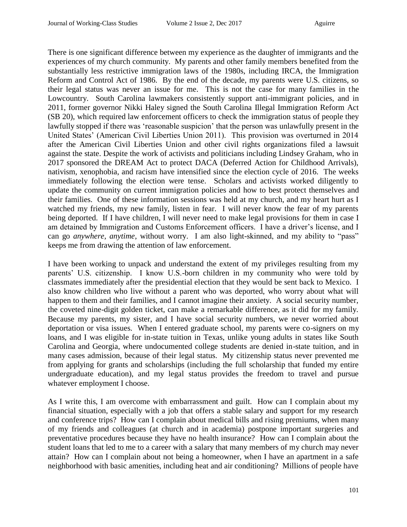There is one significant difference between my experience as the daughter of immigrants and the experiences of my church community. My parents and other family members benefited from the substantially less restrictive immigration laws of the 1980s, including IRCA, the Immigration Reform and Control Act of 1986. By the end of the decade, my parents were U.S. citizens, so their legal status was never an issue for me. This is not the case for many families in the Lowcountry. South Carolina lawmakers consistently support anti-immigrant policies, and in 2011, former governor Nikki Haley signed the South Carolina Illegal Immigration Reform Act (SB 20), which required law enforcement officers to check the immigration status of people they lawfully stopped if there was 'reasonable suspicion' that the person was unlawfully present in the United States' (American Civil Liberties Union 2011). This provision was overturned in 2014 after the American Civil Liberties Union and other civil rights organizations filed a lawsuit against the state. Despite the work of activists and politicians including Lindsey Graham, who in 2017 sponsored the DREAM Act to protect DACA (Deferred Action for Childhood Arrivals), nativism, xenophobia, and racism have intensified since the election cycle of 2016. The weeks immediately following the election were tense. Scholars and activists worked diligently to update the community on current immigration policies and how to best protect themselves and their families. One of these information sessions was held at my church, and my heart hurt as I watched my friends, my new family, listen in fear. I will never know the fear of my parents being deported. If I have children, I will never need to make legal provisions for them in case I am detained by Immigration and Customs Enforcement officers. I have a driver's license, and I can go *anywhere, anytime*, without worry. I am also light-skinned, and my ability to "pass" keeps me from drawing the attention of law enforcement.

I have been working to unpack and understand the extent of my privileges resulting from my parents' U.S. citizenship. I know U.S.-born children in my community who were told by classmates immediately after the presidential election that they would be sent back to Mexico. I also know children who live without a parent who was deported, who worry about what will happen to them and their families, and I cannot imagine their anxiety. A social security number, the coveted nine-digit golden ticket, can make a remarkable difference, as it did for my family. Because my parents, my sister, and I have social security numbers, we never worried about deportation or visa issues. When I entered graduate school, my parents were co-signers on my loans, and I was eligible for in-state tuition in Texas, unlike young adults in states like South Carolina and Georgia, where undocumented college students are denied in-state tuition, and in many cases admission, because of their legal status. My citizenship status never prevented me from applying for grants and scholarships (including the full scholarship that funded my entire undergraduate education), and my legal status provides the freedom to travel and pursue whatever employment I choose.

As I write this, I am overcome with embarrassment and guilt. How can I complain about my financial situation, especially with a job that offers a stable salary and support for my research and conference trips? How can I complain about medical bills and rising premiums, when many of my friends and colleagues (at church and in academia) postpone important surgeries and preventative procedures because they have no health insurance? How can I complain about the student loans that led to me to a career with a salary that many members of my church may never attain? How can I complain about not being a homeowner, when I have an apartment in a safe neighborhood with basic amenities, including heat and air conditioning? Millions of people have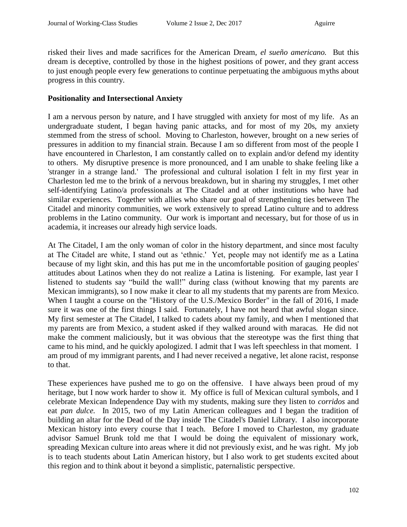risked their lives and made sacrifices for the American Dream, *el sueño americano.* But this dream is deceptive, controlled by those in the highest positions of power, and they grant access to just enough people every few generations to continue perpetuating the ambiguous myths about progress in this country.

#### **Positionality and Intersectional Anxiety**

I am a nervous person by nature, and I have struggled with anxiety for most of my life. As an undergraduate student, I began having panic attacks, and for most of my 20s, my anxiety stemmed from the stress of school. Moving to Charleston, however, brought on a new series of pressures in addition to my financial strain. Because I am so different from most of the people I have encountered in Charleston, I am constantly called on to explain and/or defend my identity to others. My disruptive presence is more pronounced, and I am unable to shake feeling like a 'stranger in a strange land.' The professional and cultural isolation I felt in my first year in Charleston led me to the brink of a nervous breakdown, but in sharing my struggles, I met other self-identifying Latino/a professionals at The Citadel and at other institutions who have had similar experiences. Together with allies who share our goal of strengthening ties between The Citadel and minority communities, we work extensively to spread Latino culture and to address problems in the Latino community. Our work is important and necessary, but for those of us in academia, it increases our already high service loads.

At The Citadel, I am the only woman of color in the history department, and since most faculty at The Citadel are white, I stand out as 'ethnic.' Yet, people may not identify me as a Latina because of my light skin, and this has put me in the uncomfortable position of gauging peoples' attitudes about Latinos when they do not realize a Latina is listening. For example, last year I listened to students say "build the wall!" during class (without knowing that my parents are Mexican immigrants), so I now make it clear to all my students that my parents are from Mexico. When I taught a course on the "History of the U.S./Mexico Border" in the fall of 2016, I made sure it was one of the first things I said. Fortunately, I have not heard that awful slogan since. My first semester at The Citadel, I talked to cadets about my family, and when I mentioned that my parents are from Mexico, a student asked if they walked around with maracas. He did not make the comment maliciously, but it was obvious that the stereotype was the first thing that came to his mind, and he quickly apologized. I admit that I was left speechless in that moment. I am proud of my immigrant parents, and I had never received a negative, let alone racist, response to that.

These experiences have pushed me to go on the offensive. I have always been proud of my heritage, but I now work harder to show it. My office is full of Mexican cultural symbols, and I celebrate Mexican Independence Day with my students, making sure they listen to *corridos* and eat *pan dulce.* In 2015, two of my Latin American colleagues and I began the tradition of building an altar for the Dead of the Day inside The Citadel's Daniel Library. I also incorporate Mexican history into every course that I teach. Before I moved to Charleston, my graduate advisor Samuel Brunk told me that I would be doing the equivalent of missionary work, spreading Mexican culture into areas where it did not previously exist, and he was right. My job is to teach students about Latin American history, but I also work to get students excited about this region and to think about it beyond a simplistic, paternalistic perspective.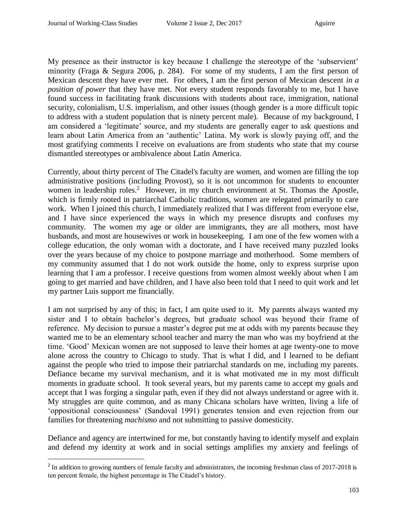l

My presence as their instructor is key because I challenge the stereotype of the 'subservient' minority (Fraga & Segura 2006, p. 284). For some of my students, I am the first person of Mexican descent they have ever met. For others, I am the first person of Mexican descent *in a position of power* that they have met. Not every student responds favorably to me, but I have found success in facilitating frank discussions with students about race, immigration, national security, colonialism, U.S. imperialism, and other issues (though gender is a more difficult topic to address with a student population that is ninety percent male). Because of my background, I am considered a 'legitimate' source, and my students are generally eager to ask questions and learn about Latin America from an 'authentic' Latina. My work is slowly paying off, and the most gratifying comments I receive on evaluations are from students who state that my course dismantled stereotypes or ambivalence about Latin America.

Currently, about thirty percent of The Citadel's faculty are women, and women are filling the top administrative positions (including Provost), so it is not uncommon for students to encounter women in leadership roles.<sup>2</sup> However, in my church environment at St. Thomas the Apostle, which is firmly rooted in patriarchal Catholic traditions, women are relegated primarily to care work. When I joined this church, I immediately realized that I was different from everyone else, and I have since experienced the ways in which my presence disrupts and confuses my community. The women my age or older are immigrants, they are all mothers, most have husbands, and most are housewives or work in housekeeping. I am one of the few women with a college education, the only woman with a doctorate, and I have received many puzzled looks over the years because of my choice to postpone marriage and motherhood. Some members of my community assumed that I do not work outside the home, only to express surprise upon learning that I am a professor. I receive questions from women almost weekly about when I am going to get married and have children, and I have also been told that I need to quit work and let my partner Luis support me financially.

I am not surprised by any of this; in fact, I am quite used to it. My parents always wanted my sister and I to obtain bachelor's degrees, but graduate school was beyond their frame of reference. My decision to pursue a master's degree put me at odds with my parents because they wanted me to be an elementary school teacher and marry the man who was my boyfriend at the time. 'Good' Mexican women are not supposed to leave their homes at age twenty-one to move alone across the country to Chicago to study. That is what I did, and I learned to be defiant against the people who tried to impose their patriarchal standards on me, including my parents. Defiance became my survival mechanism, and it is what motivated me in my most difficult moments in graduate school. It took several years, but my parents came to accept my goals and accept that I was forging a singular path, even if they did not always understand or agree with it. My struggles are quite common, and as many Chicana scholars have written, living a life of 'oppositional consciousness' (Sandoval 1991) generates tension and even rejection from our families for threatening *machismo* and not submitting to passive domesticity.

Defiance and agency are intertwined for me, but constantly having to identify myself and explain and defend my identity at work and in social settings amplifies my anxiety and feelings of

 $2$  In addition to growing numbers of female faculty and administrators, the incoming freshman class of 2017-2018 is ten percent female, the highest percentage in The Citadel's history.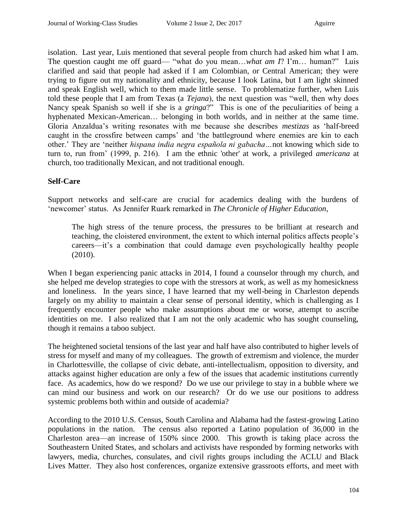isolation. Last year, Luis mentioned that several people from church had asked him what I am. The question caught me off guard— "what do you mean…*what am I*? I'm… human?" Luis clarified and said that people had asked if I am Colombian, or Central American; they were trying to figure out my nationality and ethnicity, because I look Latina, but I am light skinned and speak English well, which to them made little sense. To problematize further, when Luis told these people that I am from Texas (a *Tejana*), the next question was "well, then why does Nancy speak Spanish so well if she is a *gringa*?" This is one of the peculiarities of being a hyphenated Mexican-American... belonging in both worlds, and in neither at the same time. Gloria Anzaldua's writing resonates with me because she describes *mestizas* as 'half-breed caught in the crossfire between camps' and 'the battleground where enemies are kin to each other.' They are 'neither *hispana india negra española ni gabacha…*not knowing which side to turn to, run from' (1999, p. 216).I am the ethnic 'other' at work, a privileged *americana* at church, too traditionally Mexican, and not traditional enough.

## **Self-Care**

Support networks and self-care are crucial for academics dealing with the burdens of 'newcomer' status. As Jennifer Ruark remarked in *The Chronicle of Higher Education,*

The high stress of the tenure process, the pressures to be brilliant at research and teaching, the cloistered environment, the extent to which internal politics affects people's careers—it's a combination that could damage even psychologically healthy people (2010).

When I began experiencing panic attacks in 2014, I found a counselor through my church, and she helped me develop strategies to cope with the stressors at work, as well as my homesickness and loneliness. In the years since, I have learned that my well-being in Charleston depends largely on my ability to maintain a clear sense of personal identity, which is challenging as I frequently encounter people who make assumptions about me or worse, attempt to ascribe identities on me. I also realized that I am not the only academic who has sought counseling, though it remains a taboo subject.

The heightened societal tensions of the last year and half have also contributed to higher levels of stress for myself and many of my colleagues. The growth of extremism and violence, the murder in Charlottesville, the collapse of civic debate, anti-intellectualism, opposition to diversity, and attacks against higher education are only a few of the issues that academic institutions currently face. As academics, how do we respond? Do we use our privilege to stay in a bubble where we can mind our business and work on our research? Or do we use our positions to address systemic problems both within and outside of academia?

According to the 2010 U.S. Census, South Carolina and Alabama had the fastest-growing Latino populations in the nation. The census also reported a Latino population of 36,000 in the Charleston area—an increase of 150% since 2000. This growth is taking place across the Southeastern United States, and scholars and activists have responded by forming networks with lawyers, media, churches, consulates, and civil rights groups including the ACLU and Black Lives Matter. They also host conferences, organize extensive grassroots efforts, and meet with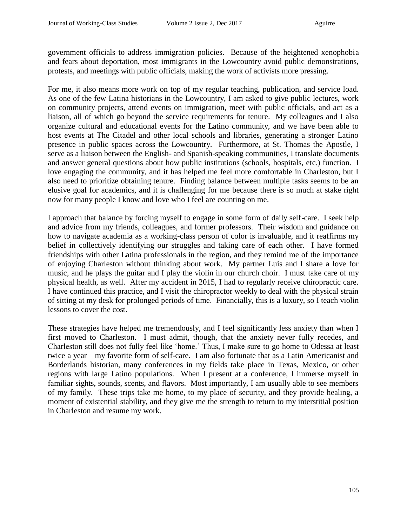government officials to address immigration policies. Because of the heightened xenophobia and fears about deportation, most immigrants in the Lowcountry avoid public demonstrations, protests, and meetings with public officials, making the work of activists more pressing.

For me, it also means more work on top of my regular teaching, publication, and service load. As one of the few Latina historians in the Lowcountry, I am asked to give public lectures, work on community projects, attend events on immigration, meet with public officials, and act as a liaison, all of which go beyond the service requirements for tenure. My colleagues and I also organize cultural and educational events for the Latino community, and we have been able to host events at The Citadel and other local schools and libraries, generating a stronger Latino presence in public spaces across the Lowcountry. Furthermore, at St. Thomas the Apostle, I serve as a liaison between the English- and Spanish-speaking communities, I translate documents and answer general questions about how public institutions (schools, hospitals, etc.) function. I love engaging the community, and it has helped me feel more comfortable in Charleston, but I also need to prioritize obtaining tenure. Finding balance between multiple tasks seems to be an elusive goal for academics, and it is challenging for me because there is so much at stake right now for many people I know and love who I feel are counting on me.

I approach that balance by forcing myself to engage in some form of daily self-care. I seek help and advice from my friends, colleagues, and former professors. Their wisdom and guidance on how to navigate academia as a working-class person of color is invaluable, and it reaffirms my belief in collectively identifying our struggles and taking care of each other. I have formed friendships with other Latina professionals in the region, and they remind me of the importance of enjoying Charleston without thinking about work. My partner Luis and I share a love for music, and he plays the guitar and I play the violin in our church choir. I must take care of my physical health, as well. After my accident in 2015, I had to regularly receive chiropractic care. I have continued this practice, and I visit the chiropractor weekly to deal with the physical strain of sitting at my desk for prolonged periods of time. Financially, this is a luxury, so I teach violin lessons to cover the cost.

These strategies have helped me tremendously, and I feel significantly less anxiety than when I first moved to Charleston. I must admit, though, that the anxiety never fully recedes, and Charleston still does not fully feel like 'home.' Thus, I make sure to go home to Odessa at least twice a year—my favorite form of self-care. I am also fortunate that as a Latin Americanist and Borderlands historian, many conferences in my fields take place in Texas, Mexico, or other regions with large Latino populations. When I present at a conference, I immerse myself in familiar sights, sounds, scents, and flavors. Most importantly, I am usually able to see members of my family. These trips take me home, to my place of security, and they provide healing, a moment of existential stability, and they give me the strength to return to my interstitial position in Charleston and resume my work.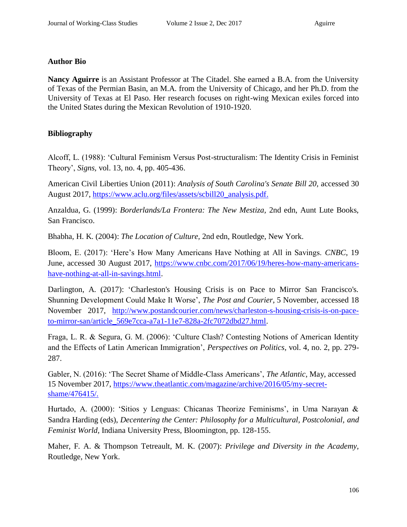## **Author Bio**

**Nancy Aguirre** is an Assistant Professor at The Citadel. She earned a B.A. from the University of Texas of the Permian Basin, an M.A. from the University of Chicago, and her Ph.D. from the University of Texas at El Paso. Her research focuses on right-wing Mexican exiles forced into the United States during the Mexican Revolution of 1910-1920.

# **Bibliography**

Alcoff, L. (1988): 'Cultural Feminism Versus Post-structuralism: The Identity Crisis in Feminist Theory', *Signs,* vol. 13, no. 4, pp. 405-436.

American Civil Liberties Union (2011): *Analysis of South Carolina's Senate Bill 20,* accessed 30 August 2017, [https://www.aclu.org/files/assets/scbill20\\_analysis.pdf.](https://www.aclu.org/files/assets/scbill20_analysis.pdf)

Anzaldua, G. (1999): *Borderlands/La Frontera: The New Mestiza,* 2nd edn, Aunt Lute Books, San Francisco.

Bhabha, H. K. (2004): *The Location of Culture,* 2nd edn, Routledge, New York.

Bloom, E. (2017): 'Here's How Many Americans Have Nothing at All in Savings. *CNBC*, 19 June, accessed 30 August 2017, [https://www.cnbc.com/2017/06/19/heres-how-many-americans](https://www.cnbc.com/2017/06/19/heres-how-many-americans-have-nothing-at-all-in-savings.html)[have-nothing-at-all-in-savings.html.](https://www.cnbc.com/2017/06/19/heres-how-many-americans-have-nothing-at-all-in-savings.html)

Darlington, A. (2017): 'Charleston's Housing Crisis is on Pace to Mirror San Francisco's. Shunning Development Could Make It Worse', *The Post and Courier*, 5 November, accessed 18 November 2017, [http://www.postandcourier.com/news/charleston-s-housing-crisis-is-on-pace](http://www.postandcourier.com/news/charleston-s-housing-crisis-is-on-pace-to-mirror-san/article_569e7cca-a7a1-11e7-828a-2fc7072dbd27.html)[to-mirror-san/article\\_569e7cca-a7a1-11e7-828a-2fc7072dbd27.html.](http://www.postandcourier.com/news/charleston-s-housing-crisis-is-on-pace-to-mirror-san/article_569e7cca-a7a1-11e7-828a-2fc7072dbd27.html)

Fraga, L. R. & Segura, G. M. (2006): 'Culture Clash? Contesting Notions of American Identity and the Effects of Latin American Immigration', *Perspectives on Politics,* vol. 4, no. 2, pp. 279- 287.

Gabler, N. (2016): 'The Secret Shame of Middle-Class Americans', *The Atlantic*, May, accessed 15 November 2017, [https://www.theatlantic.com/magazine/archive/2016/05/my-secret](https://www.theatlantic.com/magazine/archive/2016/05/my-secret-shame/476415/)[shame/476415/.](https://www.theatlantic.com/magazine/archive/2016/05/my-secret-shame/476415/)

Hurtado, A. (2000): 'Sitios y Lenguas: Chicanas Theorize Feminisms', in Uma Narayan & Sandra Harding (eds), *Decentering the Center: Philosophy for a Multicultural, Postcolonial, and Feminist World,* Indiana University Press, Bloomington, pp. 128-155.

Maher, F. A. & Thompson Tetreault, M. K. (2007): *Privilege and Diversity in the Academy,*  Routledge, New York.